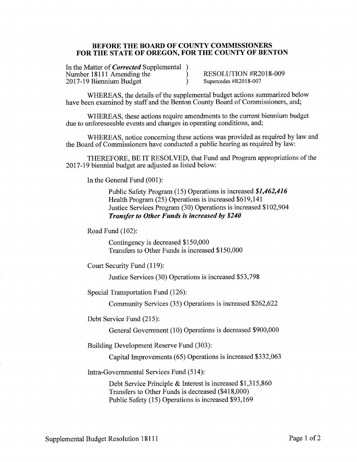#### BEFORE THE BOARD OF COUNTY COMMISSIONERS FOR THE STATE OF OREGON, FOR THE COUNTY OF BENTON

In the Matter of *Corrected* Supplemental ) Number 18111 Amending the  $\mathcal{E}$ <sup>2</sup> 2017-19 Biennium Budget

RESOLUTION #R2018-009 Supercedes #R2018-007

WHEREAS, the details of the supplemental budget actions summarized below have been examined by staff and the Benton County Board of Commissioners, and;

WHEREAS, these actions require amendments to the current biennium budget due to unforeseeable events and changes in operating conditions, and;

WHEREAS, notice concerning these actions was provided as required by law and the Board of Commissioners have conducted a public hearing as required by law:

THEREFORE, BE IT RESOLVED, that Fund and Program appropriations of the 2017-19 biennial budget are adjusted as listed below:

In the General Fund (001):

Public Safety Program (15) Operations is increased \$1,462,416 Health Program (25) Operations is increased \$619,141 Justice Services Program (30) Operations is increased \$102,904 **Transfer to Other Funds is increased by \$240** 

Road Fund (102):

Contingency is decreased \$150,000 Transfers to Other Funds is increased \$150,000

Court Security Fund (119):

Justice Services (30) Operations is increased \$53,798

Special Transportation Fund (126):

Community Services (35) Operations is increased \$262,622

Debt Service Fund (215):

General Government (10) Operations is decreased \$900,000

Building Development Reserve Fund (303):

Capital Improvements (65) Operations is increased \$332,063

Intra-Governmental Services Fund (514):

Debt Service Principle & Interest is increased  $$1,315,860$ Transfers to Other Funds is decreased (\$418,000) Public Safety (15) Operations is increased \$93,169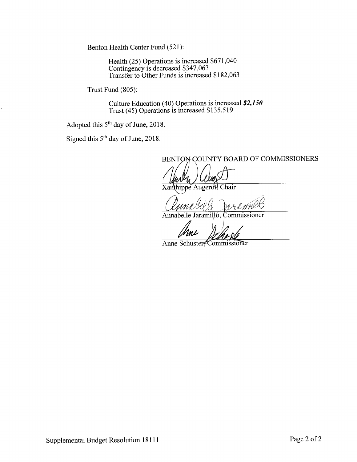Benton Health Center Fund (521):

Health (25) Operations is increased \$671,040<br>Contingency is decreased \$347,063<br>Transfer to Other Funds is increased \$182,063

Trust Fund (805):

Culture Education (40) Operations is increased \$2,150<br>Trust (45) Operations is increased \$135,519

Adopted this 5<sup>th</sup> day of June, 2018.

Signed this 5<sup>th</sup> day of June, 2018.

BENTON COUNTY BOARD OF COMMISSIONERS

Xanthippe Augerot, Chair

Jaramillo, Commissioner Annabe le.

Anne Schuster, Commissioner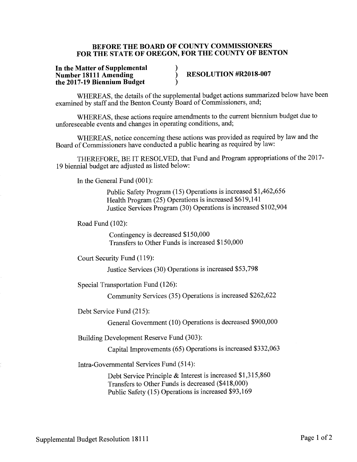#### BEFORE THE BOARD OF COUNTY COMMISSIONERS FOR THE STATE OF OREGON, FOR THE COUNTY OF BENTON

#### In the Matter of Supplemental **Number 18111 Amending** the 2017-19 Biennium Budget

# RESOLUTION #R2018-007

WHEREAS, the details of the supplemental budget actions summarized below have been examined by staff and the Benton County Board of Commissioners, and;

WHEREAS, these actions require amendments to the current biennium budget due to unforeseeable events and changes in operating conditions, and;

WHEREAS, notice concerning these actions was provided as required by law and the Board of Commissioners have conducted a public hearing as required by law:

THEREFORE, BE IT RESOLVED, that Fund and Program appropriations of the 2017-19 biennial budget are adjusted as listed below:

In the General Fund (001):

Public Safety Program (15) Operations is increased \$1,462,656 Health Program (25) Operations is increased \$619,141 Justice Services Program (30) Operations is increased \$102,904

Road Fund (102):

Contingency is decreased \$150,000 Transfers to Other Funds is increased \$150,000

Court Security Fund (119):

Justice Services (30) Operations is increased \$53,798

Special Transportation Fund (126):

Community Services (35) Operations is increased \$262,622

Debt Service Fund (215):

General Government (10) Operations is decreased \$900,000

Building Development Reserve Fund (303):

Capital Improvements (65) Operations is increased \$332,063

Intra-Governmental Services Fund (514):

Debt Service Principle & Interest is increased \$1,315,860 Transfers to Other Funds is decreased (\$418,000) Public Safety (15) Operations is increased \$93,169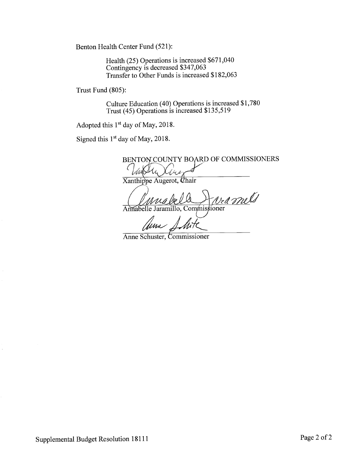Benton Health Center Fund (521):

Health (25) Operations is increased \$671,040 Contingency is decreased \$347,063 Transfer to Other Funds is increased \$182,063

Trust Fund (805):

Culture Education (40) Operations is increased \$1,780<br>Trust (45) Operations is increased \$135,519

Adopted this 1<sup>st</sup> day of May, 2018.

Signed this 1<sup>st</sup> day of May, 2018.

BENTON COUNTY BOARD OF COMMISSIONERS

Xanthippe Augerot, Chair

amis Annabelle Jaramillo, Commissioner

//mr

Anne Schuster, Commissioner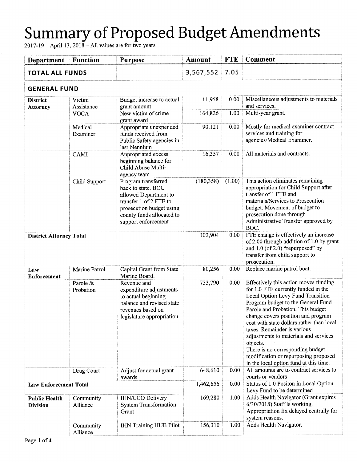| <b>Department</b>                       | <b>Function</b>       | <b>Purpose</b>                                                                                                                                                               | Amount     | <b>FTE</b> | Comment                                                                                                                                                                                                                                                                                                                                                                                                                                                                                   |  |  |
|-----------------------------------------|-----------------------|------------------------------------------------------------------------------------------------------------------------------------------------------------------------------|------------|------------|-------------------------------------------------------------------------------------------------------------------------------------------------------------------------------------------------------------------------------------------------------------------------------------------------------------------------------------------------------------------------------------------------------------------------------------------------------------------------------------------|--|--|
| <b>TOTAL ALL FUNDS</b>                  |                       |                                                                                                                                                                              | 3,567,552  | 7.05       |                                                                                                                                                                                                                                                                                                                                                                                                                                                                                           |  |  |
|                                         | <b>GENERAL FUND</b>   |                                                                                                                                                                              |            |            |                                                                                                                                                                                                                                                                                                                                                                                                                                                                                           |  |  |
| <b>District</b><br><b>Attorney</b>      | Victim<br>Assistance  | Budget increase to actual<br>grant amount                                                                                                                                    | 11,958     | 0.00       | Miscellaneous adjustments to materials<br>and services.                                                                                                                                                                                                                                                                                                                                                                                                                                   |  |  |
|                                         | <b>VOCA</b>           | New victim of crime<br>grant award                                                                                                                                           | 164,826    | 1.00       | Multi-year grant.                                                                                                                                                                                                                                                                                                                                                                                                                                                                         |  |  |
|                                         | Medical<br>Examiner   | Appropriate unexpended<br>funds received from<br>Public Safety agencies in<br>last biennium                                                                                  | 90,121     | 0.00       | Mostly for medical examiner contract<br>services and training for<br>agencies/Medical Examiner.                                                                                                                                                                                                                                                                                                                                                                                           |  |  |
|                                         | CAMI                  | Appropriated excess<br>beginning balance for<br>Child Abuse Multi-<br>agency team                                                                                            | 16,357     | 0.00       | All materials and contracts.                                                                                                                                                                                                                                                                                                                                                                                                                                                              |  |  |
|                                         | Child Support         | Program transferred<br>back to state. BOC<br>allowed Department to<br>transfer 1 of 2 FTE to<br>prosecution budget using<br>county funds allocated to<br>support enforcement | (180, 358) | (1.00)     | This action eliminates remaining<br>appropriation for Child Support after<br>transfer of 1 FTE and<br>materials/Services to Prosecution<br>budget. Movement of budget to<br>prosecution done through<br>Administrative Transfer approved by<br>BOC.                                                                                                                                                                                                                                       |  |  |
| <b>District Attorney Total</b>          |                       |                                                                                                                                                                              | 102,904    | 0.00       | FTE change is effectively an increase<br>of 2.00 through addition of 1.0 by grant<br>and $1.0$ (of $2.0$ ) "repurposed" by<br>transfer from child support to<br>prosecution.                                                                                                                                                                                                                                                                                                              |  |  |
| Law<br>Enforcement                      | Marine Patrol         | Capital Grant from State<br>Marine Board.                                                                                                                                    | 80,256     | 0.00       | Replace marine patrol boat.                                                                                                                                                                                                                                                                                                                                                                                                                                                               |  |  |
|                                         | Parole &<br>Probation | Revenue and<br>expenditure adjustments<br>to actual beginning<br>balance and revised state<br>revenues based on<br>legislature appropriation                                 | 733,790    | 0.00       | Effectively this action moves funding<br>for 1.0 FTE currently funded in the<br>Local Option Levy Fund Transition<br>Program budget to the General Fund<br>Parole and Probation. This budget<br>change covers position and program<br>cost with state dollars rather than local<br>taxes. Remainder is various<br>adjustments to materials and services<br>objects.<br>There is no corresponding budget<br>modification or repurposing proposed<br>in the local option fund at this time. |  |  |
|                                         | Drug Court            | Adjust for actual grant<br>awards                                                                                                                                            | 648,610    | 0.00       | All amounts are to contract services to<br>courts or vendors                                                                                                                                                                                                                                                                                                                                                                                                                              |  |  |
| <b>Law Enforcement Total</b>            |                       |                                                                                                                                                                              | 1,462,656  | 0.00       | Status of 1.0 Positon in Local Option<br>Levy Fund to be determined                                                                                                                                                                                                                                                                                                                                                                                                                       |  |  |
| <b>Public Health</b><br><b>Division</b> | Community<br>Alliance | IHN/CCO Delivery<br><b>System Transformation</b><br>Grant                                                                                                                    | 169,280    | 1.00       | Adds Health Navigator (Grant expires<br>$6/30/2018$ ) Staff is working.<br>Appropriation fix delayed centrally for<br>system reasons.                                                                                                                                                                                                                                                                                                                                                     |  |  |
|                                         | Community<br>Alliance | <b>IHN Training HUB Pilot</b>                                                                                                                                                | 156,310    | 1.00       | Adds Health Navigator.                                                                                                                                                                                                                                                                                                                                                                                                                                                                    |  |  |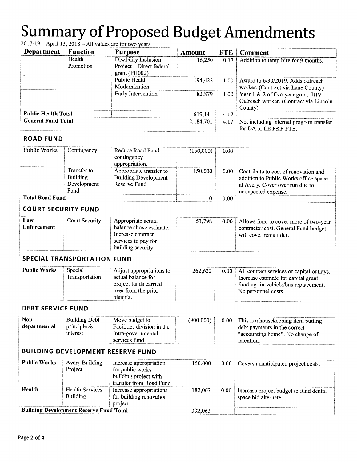| Department                 | <b>Function</b>                                       | <b>Purpose</b>                                                                                                  | Amount    | <b>FTE</b> | <b>Comment</b>                                                                                                                                  |
|----------------------------|-------------------------------------------------------|-----------------------------------------------------------------------------------------------------------------|-----------|------------|-------------------------------------------------------------------------------------------------------------------------------------------------|
|                            | Health<br>Promotion                                   | <b>Disability Inclusion</b><br>Project - Direct federal<br>grant (PH002)                                        | 16,250    | 0.17       | Addition to temp hire for 9 months.                                                                                                             |
|                            |                                                       | <b>Public Health</b><br>Modernization                                                                           | 194,422   | 1.00       | Award to 6/30/2019. Adds outreach<br>worker. (Contract via Lane County)                                                                         |
|                            |                                                       | Early Intervention                                                                                              | 82,879    | 1.00       | Year 1 & 2 of five-year grant. HIV<br>Outreach worker. (Contract via Lincoln<br>County)                                                         |
| <b>Public Health Total</b> |                                                       |                                                                                                                 | 619,141   | 4.17       |                                                                                                                                                 |
| <b>General Fund Total</b>  |                                                       |                                                                                                                 | 2,184,701 | 4.17       | Not including internal program transfer<br>for DA or LE P&P FTE.                                                                                |
| <b>ROAD FUND</b>           |                                                       |                                                                                                                 |           |            |                                                                                                                                                 |
| <b>Public Works</b>        | Contingency                                           | Reduce Road Fund<br>contingency<br>appropriation.                                                               | (150,000) | 0.00       |                                                                                                                                                 |
|                            | Transfer to<br><b>Building</b><br>Development<br>Fund | Appropriate transfer to<br><b>Building Development</b><br>Reserve Fund                                          | 150,000   | 0.00       | Contribute to cost of renovation and<br>addition to Public Works office space<br>at Avery. Cover over run due to<br>unexpected expense.         |
| <b>Total Road Fund</b>     |                                                       |                                                                                                                 | 0         | 0.00       |                                                                                                                                                 |
| <b>COURT SECURITY FUND</b> |                                                       |                                                                                                                 |           |            |                                                                                                                                                 |
| Law<br>Enforcement         | <b>Court Security</b>                                 | Appropriate actual<br>balance above estimate.<br>Increase contract<br>services to pay for<br>building security. | 53,798    | 0.00       | Allows fund to cover more of two-year<br>contractor cost. General Fund budget<br>will cover remainder.                                          |
|                            | <b>SPECIAL TRANSPORTATION FUND</b>                    |                                                                                                                 |           |            |                                                                                                                                                 |
| <b>Public Works</b>        | Special<br>Transportation                             | Adjust appropriations to<br>actual balance for<br>project funds carried<br>over from the prior<br>biennia.      | 262,622   | 0.00       | All contract services or capital outlays.<br>Increase estimate for capital grant<br>funding for vehicle/bus replacement.<br>No personnel costs. |
| <b>DEBT SERVICE FUND</b>   |                                                       |                                                                                                                 |           |            |                                                                                                                                                 |
| Non-<br>departmental       | <b>Building Debt</b><br>principle $\&$<br>interest    | Move budget to<br>Facilities division in the<br>Intra-governmental<br>services fund                             | (900,000) | 0.00       | This is a housekeeping item putting<br>debt payments in the correct<br>"accounting home". No change of<br>intention.                            |
|                            |                                                       | <b>BUILDING DEVELOPMENT RESERVE FUND</b>                                                                        |           |            |                                                                                                                                                 |
| <b>Public Works</b>        | Avery Building<br>Project                             | Increase appropriation<br>for public works<br>building project with<br>transfer from Road Fund                  | 150,000   | 0.00       | Covers unanticipated project costs.                                                                                                             |
| Health                     | <b>Health Services</b><br><b>Building</b>             | Increase appropriations<br>for building renovation<br>project                                                   | 182,063   | 0.00       | Increase project budget to fund dental<br>space bid alternate.                                                                                  |
|                            | <b>Building Development Reserve Fund Total</b>        |                                                                                                                 | 332,063   |            |                                                                                                                                                 |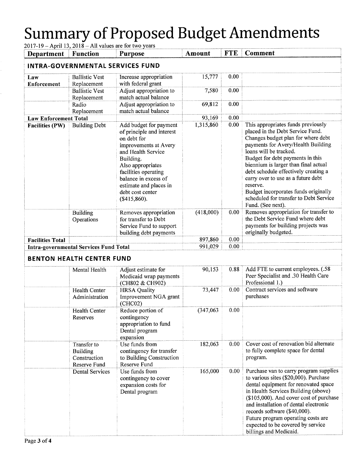| Department                              | 2017-19 – April 13, 2018 – All values are for two years<br><b>Function</b> | <b>Purpose</b>                                                                                                                                                                                                                                                    | Amount    | <b>FTE</b> | Comment                                                                                                                                                                                                                                                                                                                                                                                                                                                   |  |
|-----------------------------------------|----------------------------------------------------------------------------|-------------------------------------------------------------------------------------------------------------------------------------------------------------------------------------------------------------------------------------------------------------------|-----------|------------|-----------------------------------------------------------------------------------------------------------------------------------------------------------------------------------------------------------------------------------------------------------------------------------------------------------------------------------------------------------------------------------------------------------------------------------------------------------|--|
| <b>INTRA-GOVERNMENTAL SERVICES FUND</b> |                                                                            |                                                                                                                                                                                                                                                                   |           |            |                                                                                                                                                                                                                                                                                                                                                                                                                                                           |  |
| Law<br><b>Enforcement</b>               | <b>Ballistic Vest</b><br>Replacement                                       | Increase appropriation<br>with federal grant                                                                                                                                                                                                                      | 15,777    | 0.00       |                                                                                                                                                                                                                                                                                                                                                                                                                                                           |  |
|                                         | <b>Ballistic Vest</b><br>Replacement                                       | Adjust appropriation to<br>match actual balance                                                                                                                                                                                                                   | 7,580     | 0.00       |                                                                                                                                                                                                                                                                                                                                                                                                                                                           |  |
|                                         | Radio<br>Replacement                                                       | Adjust appropriation to<br>match actual balance                                                                                                                                                                                                                   | 69,812    | 0.00       |                                                                                                                                                                                                                                                                                                                                                                                                                                                           |  |
| <b>Law Enforcement Total</b>            |                                                                            |                                                                                                                                                                                                                                                                   | 93,169    | 0.00       |                                                                                                                                                                                                                                                                                                                                                                                                                                                           |  |
| <b>Facilities (PW)</b>                  | <b>Building Debt</b>                                                       | Add budget for payment<br>of principle and interest<br>on debt for<br>improvements at Avery<br>and Health Service<br>Building.<br>Also appropriates<br>facilities operating<br>balance in excess of<br>estimate and places in<br>debt cost center<br>(\$415,860). | 1,315,860 | 0.00       | This appropriates funds previously<br>placed in the Debt Service Fund.<br>Changes budget plan for where debt<br>payments for Avery/Health Building<br>loans will be tracked.<br>Budget for debt payments in this<br>biennium is larger than final actual<br>debt schedule effectively creating a<br>carry over to use as a future debt<br>reserve.<br>Budget incorporates funds originally<br>scheduled for transfer to Debt Service<br>Fund. (See next). |  |
|                                         | <b>Building</b><br>Operations                                              | Removes appropriation<br>for transfer to Debt<br>Service Fund to support<br>building debt payments                                                                                                                                                                | (418,000) | 0.00       | Removes appropriation for transfer to<br>the Debt Service Fund where debt<br>payments for building projects was<br>originally budgeted.                                                                                                                                                                                                                                                                                                                   |  |
| <b>Facilities Total</b>                 |                                                                            |                                                                                                                                                                                                                                                                   | 897,860   | 0.00       |                                                                                                                                                                                                                                                                                                                                                                                                                                                           |  |
|                                         | <b>Intra-governmental Services Fund Total</b>                              |                                                                                                                                                                                                                                                                   | 991,029   | 0.00       |                                                                                                                                                                                                                                                                                                                                                                                                                                                           |  |
|                                         | <b>BENTON HEALTH CENTER FUND</b>                                           |                                                                                                                                                                                                                                                                   |           |            |                                                                                                                                                                                                                                                                                                                                                                                                                                                           |  |
|                                         | Mental Health                                                              | Adjust estimate for<br>Medicaid wrap payments<br>(CH802 & CH902)                                                                                                                                                                                                  | 90,153    | 0.88       | Add FTE to current employees. (.58<br>Peer Specialist and .30 Health Care<br>Professional 1.)                                                                                                                                                                                                                                                                                                                                                             |  |
|                                         | <b>Health Center</b><br>Administration                                     | <b>HRSA</b> Quality<br>Improvement NGA grant<br>(CHCO2)                                                                                                                                                                                                           | 73,447    | 0.00       | Contract services and software<br>purchases                                                                                                                                                                                                                                                                                                                                                                                                               |  |
|                                         | Health Center<br>Reserves                                                  | Reduce portion of<br>contingency<br>appropriation to fund<br>Dental program<br>expansion                                                                                                                                                                          | (347,063) | 0.00       |                                                                                                                                                                                                                                                                                                                                                                                                                                                           |  |
|                                         | Transfer to<br><b>Building</b><br>Construction<br>Reserve Fund             | Use funds from<br>contingency for transfer<br>to Building Construction<br>Reserve Fund                                                                                                                                                                            | 182,063   | 0.00       | Cover cost of renovation bid alternate<br>to fully complete space for dental<br>program.                                                                                                                                                                                                                                                                                                                                                                  |  |
|                                         | <b>Dental Services</b>                                                     | Use funds from<br>contingency to cover<br>expansion costs for<br>Dental program                                                                                                                                                                                   | 165,000   | 0.00       | Purchase van to carry program supplies<br>to various sites (\$20,000). Purchase<br>dental equipment for renovated space<br>in Health Services Building (above)<br>(\$105,000). And cover cost of purchase<br>and installation of dental electronic<br>records software (\$40,000).<br>Future program operating costs are<br>expected to be covered by service<br>billings and Medicaid.                                                                   |  |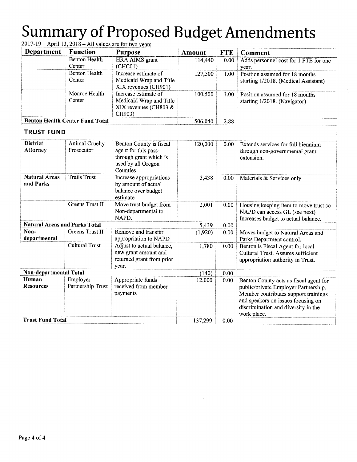| Department                             | <b>Function</b>      | <b>Purpose</b>                                    | <b>Amount</b> | <b>FTE</b> | Comment                                |
|----------------------------------------|----------------------|---------------------------------------------------|---------------|------------|----------------------------------------|
|                                        | <b>Benton Health</b> | <b>HRA AIMS</b> grant                             | 114,440       | 0.00       | Adds personnel cost for 1 FTE for one  |
|                                        | Center               | (CHCO1)                                           |               |            | year.                                  |
|                                        | <b>Benton Health</b> | Increase estimate of                              | 127,500       | 1.00       | Position assumed for 18 months         |
|                                        | Center               | Medicaid Wrap and Title<br>XIX revenues (CH901)   |               |            | starting 1/2018. (Medical Assistant)   |
|                                        | Monroe Health        | Increase estimate of                              | 100,500       | 1.00       | Position assumed for 18 months         |
|                                        | Center               | Medicaid Wrap and Title                           |               |            | starting 1/2018. (Navigator)           |
|                                        |                      | XIX revenues (CH803 &<br>CH903)                   |               |            |                                        |
| <b>Benton Health Center Fund Total</b> |                      |                                                   | 506,040       | 2.88       |                                        |
| <b>TRUST FUND</b>                      |                      |                                                   |               |            |                                        |
| <b>District</b>                        | Animal Cruelty       | Benton County is fiscal                           | 120,000       | 0.00       | Extends services for full biennium     |
| <b>Attorney</b>                        | Prosecutor           | agent for this pass-                              |               |            | through non-governmental grant         |
|                                        |                      | through grant which is                            |               |            | extension.                             |
|                                        |                      | used by all Oregon                                |               |            |                                        |
| <b>Natural Areas</b>                   | <b>Trails Trust</b>  | Counties                                          |               |            |                                        |
| and Parks                              |                      | Increase appropriations<br>by amount of actual    | 3,438         | 0.00       | Materials & Services only              |
|                                        |                      | balance over budget                               |               |            |                                        |
|                                        |                      | estimate                                          |               |            |                                        |
|                                        | Greens Trust II      | Move trust budget from                            | 2,001         | 0.00       | Housing keeping item to move trust so  |
|                                        |                      | Non-departmental to                               |               |            | NAPD can access GL (see next)          |
|                                        |                      | NAPD.                                             |               |            | Increases budget to actual balance.    |
| <b>Natural Areas and Parks Total</b>   |                      |                                                   | 5,439         | 0.00       |                                        |
| Non-                                   | Greens Trust II      | Remove and transfer                               | (1,920)       | 0.00       | Moves budget to Natural Areas and      |
| departmental                           |                      | appropriation to NAPD                             |               |            | Parks Department control.              |
|                                        | Cultural Trust       | Adjust to actual balance,<br>new grant amount and | 1,780         | 0.00       | Benton is Fiscal Agent for local       |
|                                        |                      | returned grant from prior                         |               |            | Cultural Trust. Assures sufficient     |
|                                        |                      | year.                                             |               |            | appropriation authority in Trust.      |
| Non-departmental Total                 |                      |                                                   | (140)         | 0.00       |                                        |
| Human                                  | Employer             | Appropriate funds                                 | 12,000        | 0.00       | Benton County acts as fiscal agent for |
| <b>Resources</b>                       | Partnership Trust    | received from member                              |               |            | public/private Employer Partnership.   |
|                                        |                      | payments                                          |               |            | Member contributes support trainings   |
|                                        |                      |                                                   |               |            | and speakers on issues focusing on     |
|                                        |                      |                                                   |               |            | discrimination and diversity in the    |
| <b>Trust Fund Total</b>                |                      |                                                   | 137,299       | 0.00       | work place.                            |
|                                        |                      |                                                   |               |            |                                        |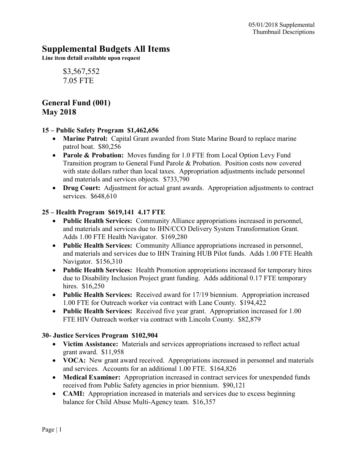# Supplemental Budgets All Items

Line item detail available upon request

\$3,567,552 7.05 FTE

# General Fund (001) May 2018

#### 15 – Public Safety Program \$1,462,656

- Marine Patrol: Capital Grant awarded from State Marine Board to replace marine patrol boat. \$80,256
- Parole & Probation: Moves funding for 1.0 FTE from Local Option Levy Fund Transition program to General Fund Parole & Probation. Position costs now covered with state dollars rather than local taxes. Appropriation adjustments include personnel and materials and services objects. \$733,790
- Drug Court: Adjustment for actual grant awards. Appropriation adjustments to contract services. \$648,610

#### 25 – Health Program \$619,141 4.17 FTE

- Public Health Services: Community Alliance appropriations increased in personnel, and materials and services due to IHN/CCO Delivery System Transformation Grant. Adds 1.00 FTE Health Navigator. \$169,280
- Public Health Services: Community Alliance appropriations increased in personnel, and materials and services due to IHN Training HUB Pilot funds. Adds 1.00 FTE Health Navigator. \$156,310
- Public Health Services: Health Promotion appropriations increased for temporary hires due to Disability Inclusion Project grant funding. Adds additional 0.17 FTE temporary hires. \$16,250
- Public Health Services: Received award for 17/19 biennium. Appropriation increased 1.00 FTE for Outreach worker via contract with Lane County. \$194,422
- Public Health Services: Received five year grant. Appropriation increased for 1.00 FTE HIV Outreach worker via contract with Lincoln County. \$82,879

#### 30- Justice Services Program \$102,904

- Victim Assistance: Materials and services appropriations increased to reflect actual grant award. \$11,958
- VOCA: New grant award received. Appropriations increased in personnel and materials and services. Accounts for an additional 1.00 FTE. \$164,826
- Medical Examiner: Appropriation increased in contract services for unexpended funds received from Public Safety agencies in prior biennium. \$90,121
- **CAMI:** Appropriation increased in materials and services due to excess beginning balance for Child Abuse Multi-Agency team. \$16,357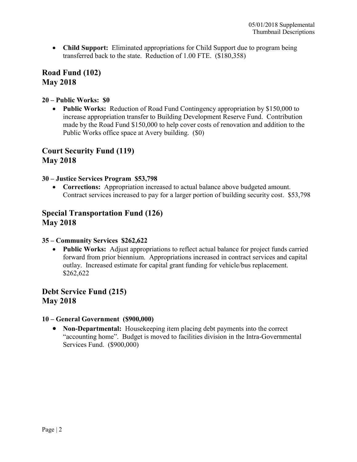• Child Support: Eliminated appropriations for Child Support due to program being transferred back to the state. Reduction of 1.00 FTE. (\$180,358)

### Road Fund (102) May 2018

#### 20 – Public Works: \$0

• Public Works: Reduction of Road Fund Contingency appropriation by \$150,000 to increase appropriation transfer to Building Development Reserve Fund. Contribution made by the Road Fund \$150,000 to help cover costs of renovation and addition to the Public Works office space at Avery building. (\$0)

### Court Security Fund (119) May 2018

#### 30 – Justice Services Program \$53,798

• Corrections: Appropriation increased to actual balance above budgeted amount. Contract services increased to pay for a larger portion of building security cost. \$53,798

# Special Transportation Fund (126) May 2018

#### 35 – Community Services \$262,622

• Public Works: Adjust appropriations to reflect actual balance for project funds carried forward from prior biennium. Appropriations increased in contract services and capital outlay. Increased estimate for capital grant funding for vehicle/bus replacement. \$262,622

# Debt Service Fund (215) May 2018

#### 10 – General Government (\$900,000)

• Non-Departmental: Housekeeping item placing debt payments into the correct "accounting home". Budget is moved to facilities division in the Intra-Governmental Services Fund. (\$900,000)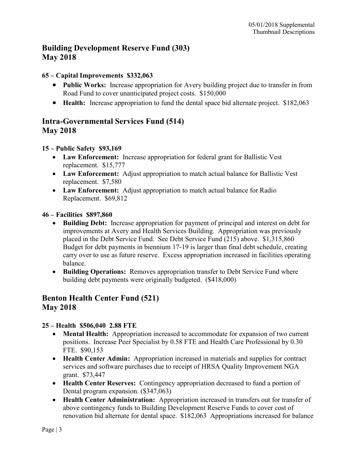# Building Development Reserve Fund (303) May 2018

#### 65 – Capital Improvements \$332,063

- Public Works: Increase appropriation for Avery building project due to transfer in from Road Fund to cover unanticipated project costs. \$150,000
- Health: Increase appropriation to fund the dental space bid alternate project. \$182,063

# Intra-Governmental Services Fund (514) May 2018

#### 15 – Public Safety \$93,169

- Law Enforcement: Increase appropriation for federal grant for Ballistic Vest replacement. \$15,777
- Law Enforcement: Adjust appropriation to match actual balance for Ballistic Vest replacement. \$7,580
- Law Enforcement: Adjust appropriation to match actual balance for Radio Replacement. \$69,812

#### 46 – Facilities \$897,860

- Building Debt: Increase appropriation for payment of principal and interest on debt for improvements at Avery and Health Services Building. Appropriation was previously placed in the Debt Service Fund. See Debt Service Fund (215) above. \$1,315,860 Budget for debt payments in biennium 17-19 is larger than final debt schedule, creating carry over to use as future reserve. Excess appropriation increased in facilities operating balance.
- Building Operations: Removes appropriation transfer to Debt Service Fund where building debt payments were originally budgeted. (\$418,000)

# Benton Health Center Fund (521) May 2018

### 25 – Health \$506,040 2.88 FTE

- Mental Health: Appropriation increased to accommodate for expansion of two current positions. Increase Peer Specialist by 0.58 FTE and Health Care Professional by 0.30 FTE. \$90,153
- Health Center Admin: Appropriation increased in materials and supplies for contract services and software purchases due to receipt of HRSA Quality Improvement NGA grant. \$73,447
- Health Center Reserves: Contingency appropriation decreased to fund a portion of Dental program expansion. (\$347,063)
- Health Center Administration: Appropriation increased in transfers out for transfer of above contingency funds to Building Development Reserve Funds to cover cost of renovation bid alternate for dental space. \$182,063 Appropriations increased for balance